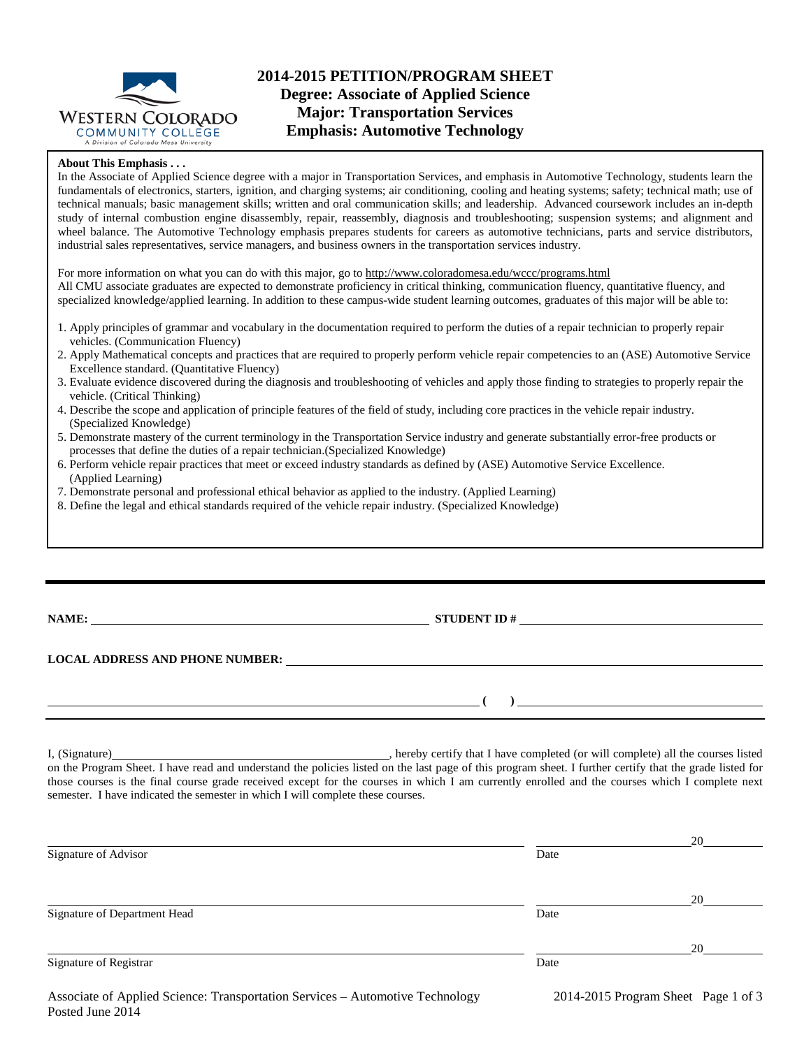

# **2014-2015 PETITION/PROGRAM SHEET Degree: Associate of Applied Science Major: Transportation Services Emphasis: Automotive Technology**

### **About This Emphasis . . .**

In the Associate of Applied Science degree with a major in Transportation Services, and emphasis in Automotive Technology, students learn the fundamentals of electronics, starters, ignition, and charging systems; air conditioning, cooling and heating systems; safety; technical math; use of technical manuals; basic management skills; written and oral communication skills; and leadership. Advanced coursework includes an in-depth study of internal combustion engine disassembly, repair, reassembly, diagnosis and troubleshooting; suspension systems; and alignment and wheel balance. The Automotive Technology emphasis prepares students for careers as automotive technicians, parts and service distributors, industrial sales representatives, service managers, and business owners in the transportation services industry.

For more information on what you can do with this major, go to http://www.coloradomesa.edu/wccc/programs.html All CMU associate graduates are expected to demonstrate proficiency in critical thinking, communication fluency, quantitative fluency, and specialized knowledge/applied learning. In addition to these campus-wide student learning outcomes, graduates of this major will be able to:

- 1. Apply principles of grammar and vocabulary in the documentation required to perform the duties of a repair technician to properly repair vehicles. (Communication Fluency)
- 2. Apply Mathematical concepts and practices that are required to properly perform vehicle repair competencies to an (ASE) Automotive Service Excellence standard. (Quantitative Fluency)
- 3. Evaluate evidence discovered during the diagnosis and troubleshooting of vehicles and apply those finding to strategies to properly repair the vehicle. (Critical Thinking)
- 4. Describe the scope and application of principle features of the field of study, including core practices in the vehicle repair industry. (Specialized Knowledge)
- 5. Demonstrate mastery of the current terminology in the Transportation Service industry and generate substantially error-free products or processes that define the duties of a repair technician.(Specialized Knowledge)
- 6. Perform vehicle repair practices that meet or exceed industry standards as defined by (ASE) Automotive Service Excellence. (Applied Learning)
- 7. Demonstrate personal and professional ethical behavior as applied to the industry. (Applied Learning)
- 8. Define the legal and ethical standards required of the vehicle repair industry. (Specialized Knowledge)

**NAME: STUDENT ID #** 

**LOCAL ADDRESS AND PHONE NUMBER:**

**( )** 

I, (Signature) , hereby certify that I have completed (or will complete) all the courses listed on the Program Sheet. I have read and understand the policies listed on the last page of this program sheet. I further certify that the grade listed for those courses is the final course grade received except for the courses in which I am currently enrolled and the courses which I complete next semester. I have indicated the semester in which I will complete these courses.

|                              |      | 20 |
|------------------------------|------|----|
| Signature of Advisor         | Date |    |
|                              |      | 20 |
| Signature of Department Head | Date |    |
|                              |      | 20 |
| Signature of Registrar       | Date |    |
|                              |      |    |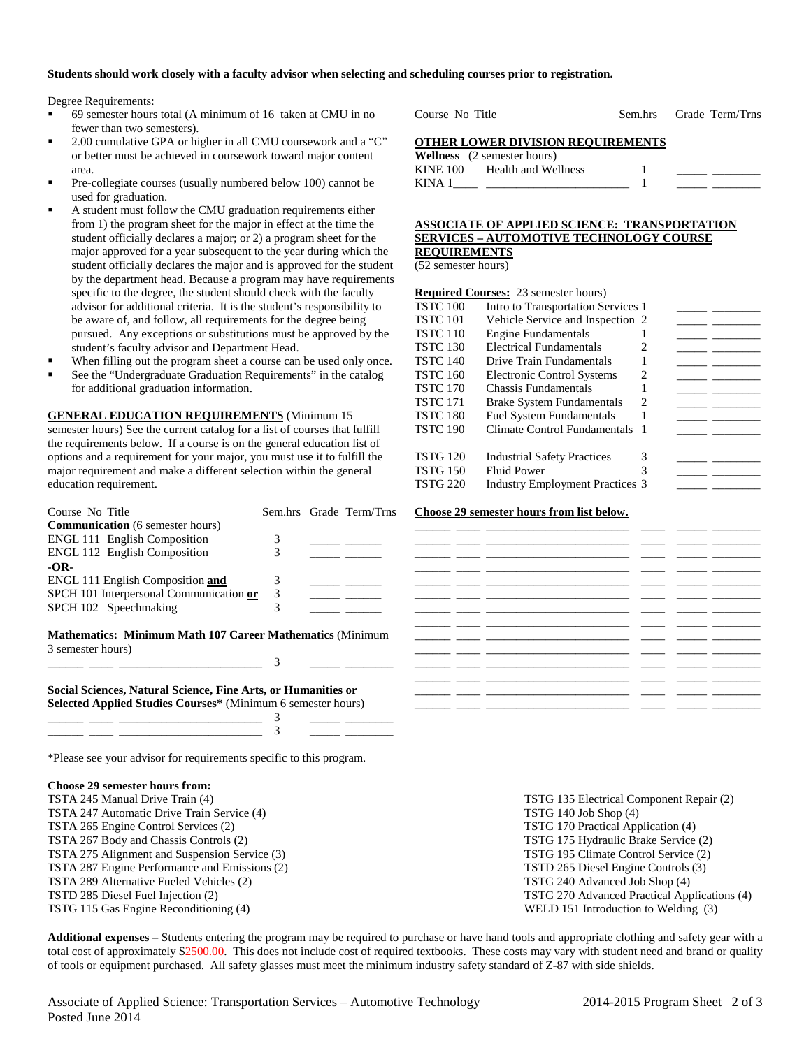### **Students should work closely with a faculty advisor when selecting and scheduling courses prior to registration.**

Degree Requirements:

- 69 semester hours total (A minimum of 16 taken at CMU in no fewer than two semesters).
- 2.00 cumulative GPA or higher in all CMU coursework and a "C" or better must be achieved in coursework toward major content area.
- Pre-collegiate courses (usually numbered below 100) cannot be used for graduation.
- A student must follow the CMU graduation requirements either from 1) the program sheet for the major in effect at the time the student officially declares a major; or 2) a program sheet for the major approved for a year subsequent to the year during which the student officially declares the major and is approved for the student by the department head. Because a program may have requirements specific to the degree, the student should check with the faculty advisor for additional criteria. It is the student's responsibility to be aware of, and follow, all requirements for the degree being pursued. Any exceptions or substitutions must be approved by the student's faculty advisor and Department Head.
- When filling out the program sheet a course can be used only once.
- See the "Undergraduate Graduation Requirements" in the catalog for additional graduation information.

**GENERAL EDUCATION REQUIREMENTS** (Minimum 15 semester hours) See the current catalog for a list of courses that fulfill the requirements below. If a course is on the general education list of options and a requirement for your major, you must use it to fulfill the major requirement and make a different selection within the general education requirement.

| Course No Title                                                                                                               |   | Sem.hrs Grade Term/Trns |
|-------------------------------------------------------------------------------------------------------------------------------|---|-------------------------|
| <b>Communication</b> (6 semester hours)                                                                                       |   |                         |
| <b>ENGL 111 English Composition</b>                                                                                           | 3 |                         |
| <b>ENGL 112 English Composition</b>                                                                                           | 3 |                         |
| $-OR-$                                                                                                                        |   |                         |
| ENGL 111 English Composition and                                                                                              | 3 |                         |
| SPCH 101 Interpersonal Communication or                                                                                       | 3 |                         |
| SPCH 102 Speechmaking                                                                                                         | 3 |                         |
| <b>Mathematics: Minimum Math 107 Career Mathematics (Minimum)</b><br>3 semester hours)                                        | 3 |                         |
| Social Sciences, Natural Science, Fine Arts, or Humanities or<br>Selected Applied Studies Courses* (Minimum 6 semester hours) |   |                         |
|                                                                                                                               |   |                         |
| *Please see your advisor for requirements specific to this program.                                                           |   |                         |

# **Choose 29 semester hours from:**

TSTA 247 Automatic Drive Train Service (4) TSTG 140 Job Shop (4) TSTA 265 Engine Control Services (2) TSTG 170 Practical Application (4) TSTA 267 Body and Chassis Controls (2) TSTG 175 Hydraulic Brake Service (2) TSTA 275 Alignment and Suspension Service (3) TSTG 195 Climate Control Service (2) TSTA 287 Engine Performance and Emissions (2) TSTD 265 Diesel Engine Controls (3) TSTA 289 Alternative Fueled Vehicles (2) TSTG 240 Advanced Job Shop (4) TSTD 285 Diesel Fuel Injection (2) TSTG 270 Advanced Practical Applications (4) TSTG 115 Gas Engine Reconditioning (4) WELD 151 Introduction to Welding (3)

Course No Title Sem.hrs Grade Term/Trns

## **OTHER LOWER DIVISION REQUIREMENTS**

|          | <b>Wellness</b> (2 semester hours) |  |  |
|----------|------------------------------------|--|--|
| KINE 100 | Health and Wellness                |  |  |
| KINA 1   |                                    |  |  |

## **ASSOCIATE OF APPLIED SCIENCE: TRANSPORTATION SERVICES – AUTOMOTIVE TECHNOLOGY COURSE REQUIREMENTS**

(52 semester hours)

|                 | <b>Required Courses:</b> 23 semester hours) |   |  |
|-----------------|---------------------------------------------|---|--|
| <b>TSTC 100</b> | Intro to Transportation Services 1          |   |  |
| TSTC 101        | Vehicle Service and Inspection 2            |   |  |
| TSTC 110        | <b>Engine Fundamentals</b>                  |   |  |
| TSTC 130        | <b>Electrical Fundamentals</b>              | 2 |  |
| TSTC 140        | Drive Train Fundamentals                    |   |  |
| TSTC 160        | <b>Electronic Control Systems</b>           | 2 |  |
| TSTC 170        | <b>Chassis Fundamentals</b>                 |   |  |
| TSTC 171        | <b>Brake System Fundamentals</b>            | 2 |  |
| TSTC 180        | <b>Fuel System Fundamentals</b>             |   |  |
| TSTC 190        | Climate Control Fundamentals                |   |  |
|                 |                                             |   |  |
| TSTG 120        | <b>Industrial Safety Practices</b>          | 3 |  |
| TSTG 150        | <b>Fluid Power</b>                          | 3 |  |
| <b>TSTG 220</b> | <b>Industry Employment Practices 3</b>      |   |  |
|                 |                                             |   |  |

#### **Choose 29 semester hours from list below.**

|      | - - |                                                                                                                                                                                                                                      |  |                          |
|------|-----|--------------------------------------------------------------------------------------------------------------------------------------------------------------------------------------------------------------------------------------|--|--------------------------|
|      |     | the contract of the contract of the contract of the contract of the contract of the contract of                                                                                                                                      |  | the control of the con-  |
|      |     | the contract of the contract of the contract of the contract of the contract of the contract of the contract of                                                                                                                      |  |                          |
|      |     | <u>in the company of the company of the company of the company of the company of the company of the company of the company of the company of the company of the company of the company of the company of the company of the comp</u> |  |                          |
|      |     |                                                                                                                                                                                                                                      |  | $\overline{\phantom{a}}$ |
|      |     |                                                                                                                                                                                                                                      |  |                          |
|      |     |                                                                                                                                                                                                                                      |  | ______                   |
|      |     |                                                                                                                                                                                                                                      |  | and the control of       |
|      |     |                                                                                                                                                                                                                                      |  | $\overline{\phantom{a}}$ |
|      |     |                                                                                                                                                                                                                                      |  |                          |
|      |     |                                                                                                                                                                                                                                      |  |                          |
|      |     |                                                                                                                                                                                                                                      |  |                          |
|      |     |                                                                                                                                                                                                                                      |  |                          |
|      |     |                                                                                                                                                                                                                                      |  |                          |
| __ _ |     |                                                                                                                                                                                                                                      |  |                          |

TSTA 245 Manual Drive Train (4) TSTG 135 Electrical Component Repair (2)

**Additional expenses** – Students entering the program may be required to purchase or have hand tools and appropriate clothing and safety gear with a total cost of approximately \$2500.00. This does not include cost of required textbooks. These costs may vary with student need and brand or quality of tools or equipment purchased. All safety glasses must meet the minimum industry safety standard of Z-87 with side shields.